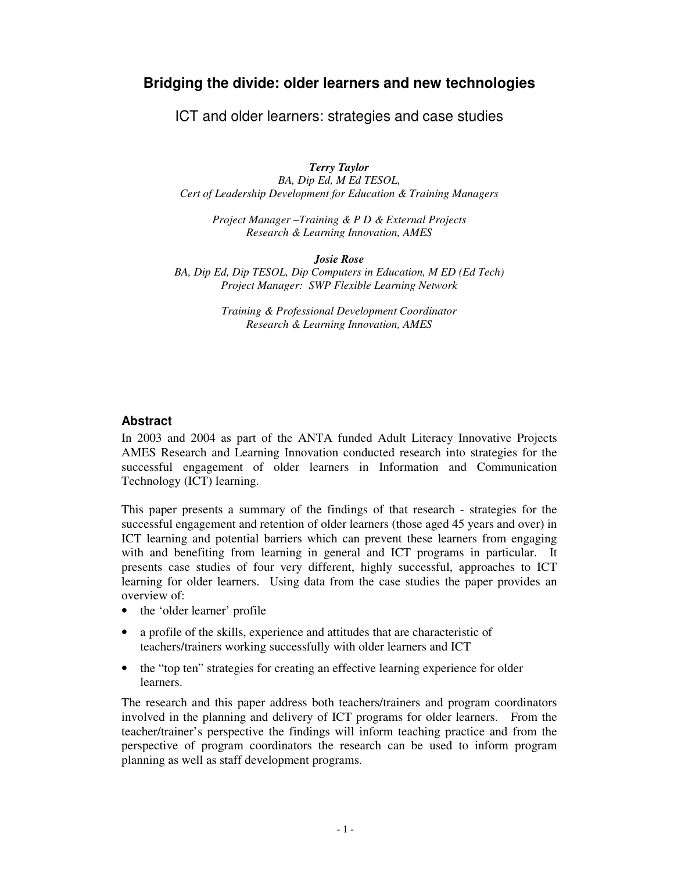# **Bridging the divide: older learners and new technologies**

ICT and older learners: strategies and case studies

*Terry Taylor*

*BA, Dip Ed, M Ed TESOL, Cert of Leadership Development for Education & Training Managers*

*Project Manager –Training & P D & External Projects Research & Learning Innovation, AMES*

*Josie Rose*

*BA, Dip Ed, Dip TESOL, Dip Computers in Education, M ED (Ed Tech) Project Manager: SWP Flexible Learning Network*

> *Training & Professional Development Coordinator Research & Learning Innovation, AMES*

# **Abstract**

In 2003 and 2004 as part of the ANTA funded Adult Literacy Innovative Projects AMES Research and Learning Innovation conducted research into strategies for the successful engagement of older learners in Information and Communication Technology (ICT) learning.

This paper presents a summary of the findings of that research - strategies for the successful engagement and retention of older learners (those aged 45 years and over) in ICT learning and potential barriers which can prevent these learners from engaging with and benefiting from learning in general and ICT programs in particular. It presents case studies of four very different, highly successful, approaches to ICT learning for older learners. Using data from the case studies the paper provides an overview of:

- the 'older learner' profile
- a profile of the skills, experience and attitudes that are characteristic of teachers/trainers working successfully with older learners and ICT
- the "top ten" strategies for creating an effective learning experience for older learners.

The research and this paper address both teachers/trainers and program coordinators involved in the planning and delivery of ICT programs for older learners. From the teacher/trainer's perspective the findings will inform teaching practice and from the perspective of program coordinators the research can be used to inform program planning as well as staff development programs.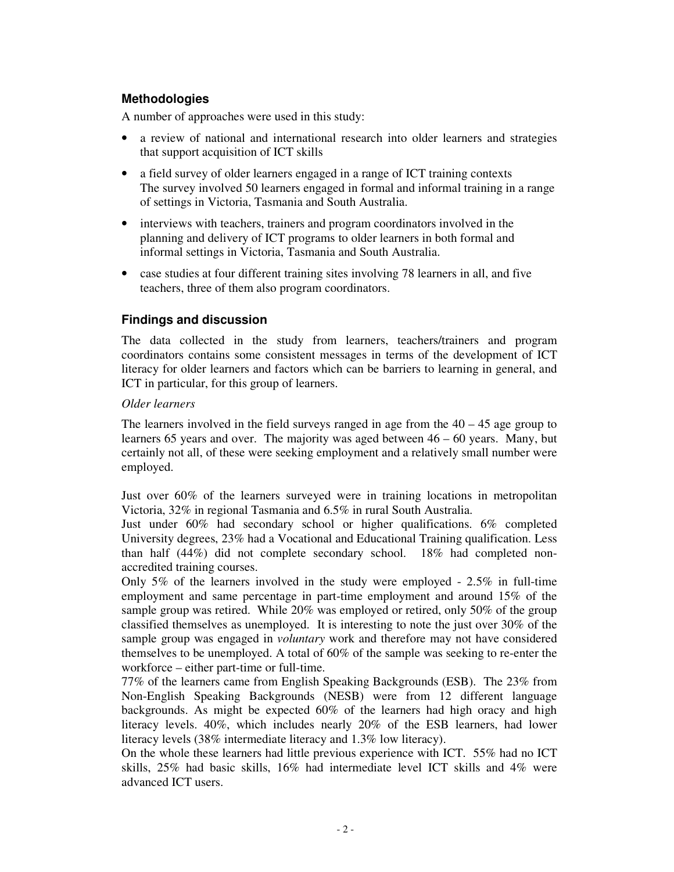## **Methodologies**

A number of approaches were used in this study:

- a review of national and international research into older learners and strategies that support acquisition of ICT skills
- a field survey of older learners engaged in a range of ICT training contexts The survey involved 50 learners engaged in formal and informal training in a range of settings in Victoria, Tasmania and South Australia.
- interviews with teachers, trainers and program coordinators involved in the planning and delivery of ICT programs to older learners in both formal and informal settings in Victoria, Tasmania and South Australia.
- case studies at four different training sites involving 78 learners in all, and five teachers, three of them also program coordinators.

# **Findings and discussion**

The data collected in the study from learners, teachers/trainers and program coordinators contains some consistent messages in terms of the development of ICT literacy for older learners and factors which can be barriers to learning in general, and ICT in particular, for this group of learners.

## *Older learners*

The learners involved in the field surveys ranged in age from the  $40 - 45$  age group to learners 65 years and over. The majority was aged between 46 – 60 years. Many, but certainly not all, of these were seeking employment and a relatively small number were employed.

Just over 60% of the learners surveyed were in training locations in metropolitan Victoria, 32% in regional Tasmania and 6.5% in rural South Australia.

Just under 60% had secondary school or higher qualifications. 6% completed University degrees, 23% had a Vocational and Educational Training qualification. Less than half (44%) did not complete secondary school. 18% had completed nonaccredited training courses.

Only 5% of the learners involved in the study were employed - 2.5% in full-time employment and same percentage in part-time employment and around 15% of the sample group was retired. While 20% was employed or retired, only 50% of the group classified themselves as unemployed. It is interesting to note the just over 30% of the sample group was engaged in *voluntary* work and therefore may not have considered themselves to be unemployed. A total of 60% of the sample was seeking to re-enter the workforce – either part-time or full-time.

77% of the learners came from English Speaking Backgrounds (ESB). The 23% from Non-English Speaking Backgrounds (NESB) were from 12 different language backgrounds. As might be expected 60% of the learners had high oracy and high literacy levels. 40%, which includes nearly 20% of the ESB learners, had lower literacy levels (38% intermediate literacy and 1.3% low literacy).

On the whole these learners had little previous experience with ICT. 55% had no ICT skills, 25% had basic skills, 16% had intermediate level ICT skills and 4% were advanced ICT users.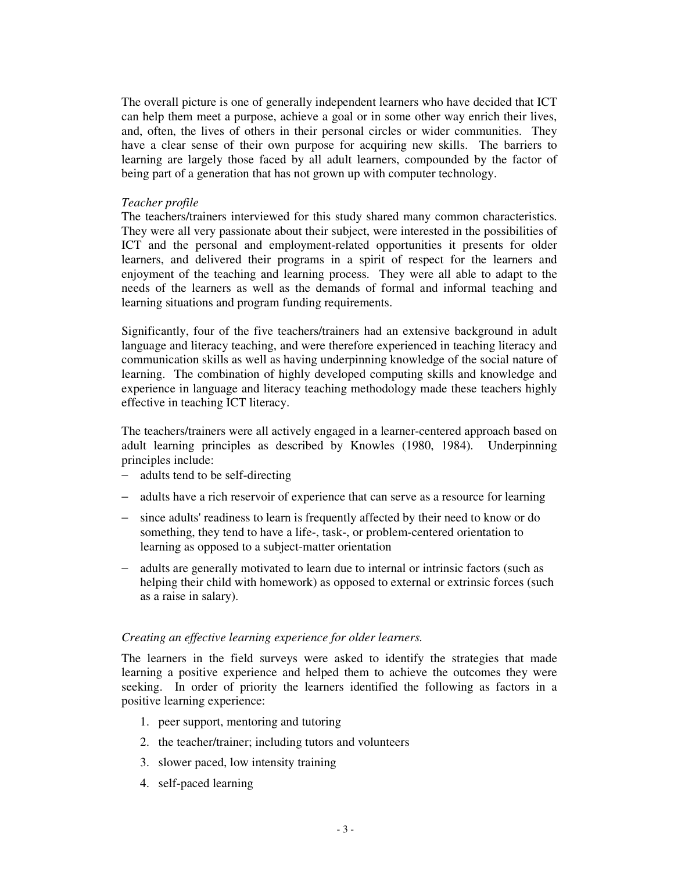The overall picture is one of generally independent learners who have decided that ICT can help them meet a purpose, achieve a goal or in some other way enrich their lives, and, often, the lives of others in their personal circles or wider communities. They have a clear sense of their own purpose for acquiring new skills. The barriers to learning are largely those faced by all adult learners, compounded by the factor of being part of a generation that has not grown up with computer technology.

## *Teacher profile*

The teachers/trainers interviewed for this study shared many common characteristics. They were all very passionate about their subject, were interested in the possibilities of ICT and the personal and employment-related opportunities it presents for older learners, and delivered their programs in a spirit of respect for the learners and enjoyment of the teaching and learning process. They were all able to adapt to the needs of the learners as well as the demands of formal and informal teaching and learning situations and program funding requirements.

Significantly, four of the five teachers/trainers had an extensive background in adult language and literacy teaching, and were therefore experienced in teaching literacy and communication skills as well as having underpinning knowledge of the social nature of learning. The combination of highly developed computing skills and knowledge and experience in language and literacy teaching methodology made these teachers highly effective in teaching ICT literacy.

The teachers/trainers were all actively engaged in a learner-centered approach based on adult learning principles as described by Knowles (1980, 1984). Underpinning principles include:

- − adults tend to be self-directing
- − adults have a rich reservoir of experience that can serve as a resource for learning
- − since adults'readiness to learn is frequently affected by their need to know or do something, they tend to have a life-, task-, or problem-centered orientation to learning as opposed to a subject-matter orientation
- − adults are generally motivated to learn due to internal or intrinsic factors (such as helping their child with homework) as opposed to external or extrinsic forces (such as a raise in salary).

## *Creating an effective learning experience for older learners.*

The learners in the field surveys were asked to identify the strategies that made learning a positive experience and helped them to achieve the outcomes they were seeking. In order of priority the learners identified the following as factors in a positive learning experience:

- 1. peer support, mentoring and tutoring
- 2. the teacher/trainer; including tutors and volunteers
- 3. slower paced, low intensity training
- 4. self-paced learning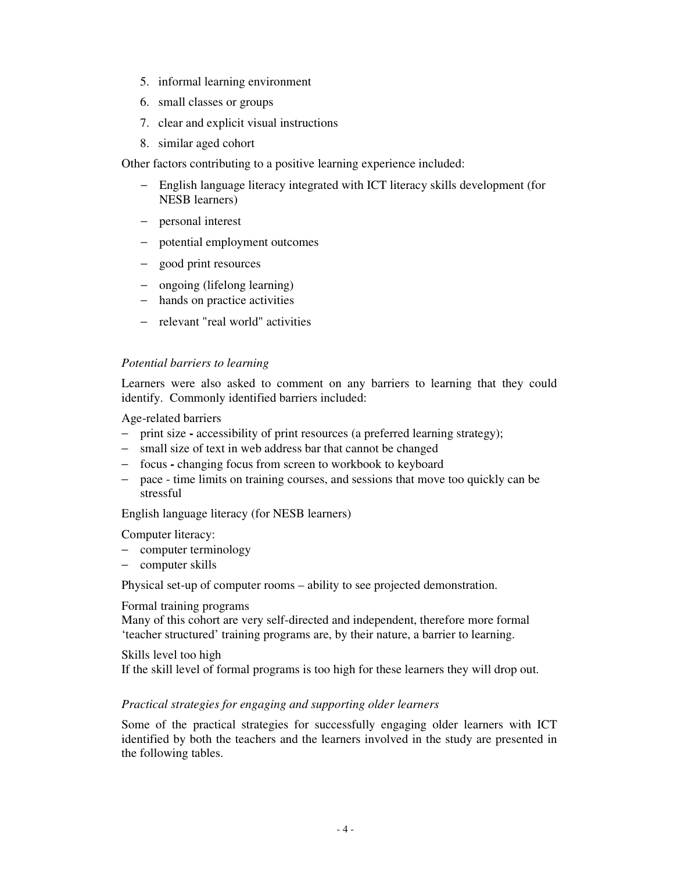- 5. informal learning environment
- 6. small classes or groups
- 7. clear and explicit visual instructions
- 8. similar aged cohort

Other factors contributing to a positive learning experience included:

- − English language literacy integrated with ICT literacy skills development (for NESB learners)
- − personal interest
- − potential employment outcomes
- − good print resources
- − ongoing (lifelong learning)
- − hands on practice activities
- − relevant "real world" activities

#### *Potential barriers to learning*

Learners were also asked to comment on any barriers to learning that they could identify. Commonly identified barriers included:

Age-related barriers

- − print size **-** accessibility of print resources (a preferred learning strategy);
- − small size of text in web address bar that cannot be changed
- − focus **-** changing focus from screen to workbook to keyboard
- − pace time limits on training courses, and sessions that move too quickly can be stressful

English language literacy (for NESB learners)

Computer literacy:

- − computer terminology
- − computer skills

Physical set-up of computer rooms – ability to see projected demonstration.

#### Formal training programs

Many of this cohort are very self-directed and independent, therefore more formal 'teacher structured' training programs are, by their nature, a barrier to learning.

## Skills level too high

If the skill level of formal programs is too high for these learners they will drop out.

## *Practical strategies for engaging and supporting older learners*

Some of the practical strategies for successfully engaging older learners with ICT identified by both the teachers and the learners involved in the study are presented in the following tables.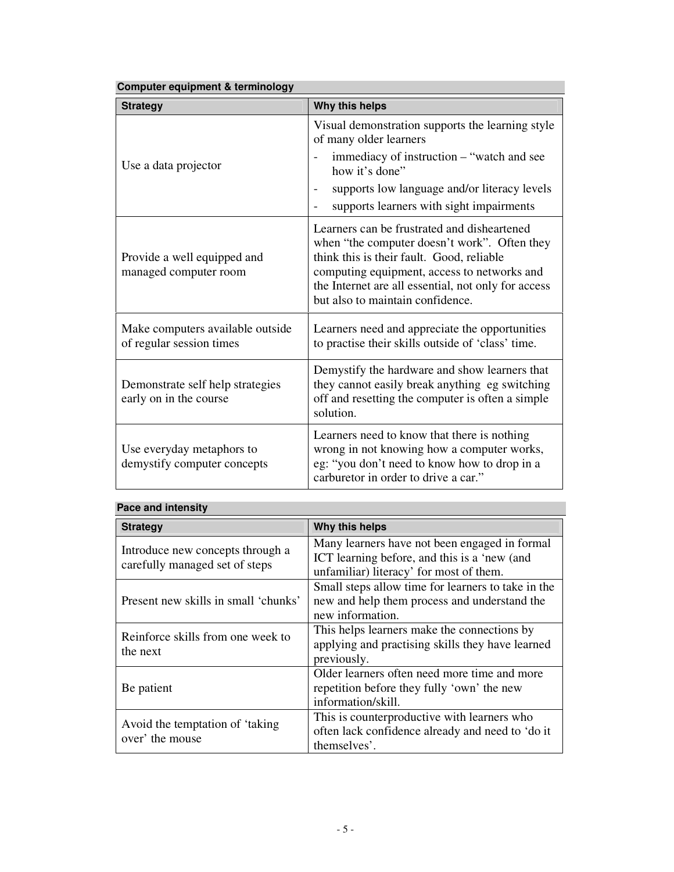| Computer equipment & terminology                             |                                                                                                                                                                                                                                                                                    |  |
|--------------------------------------------------------------|------------------------------------------------------------------------------------------------------------------------------------------------------------------------------------------------------------------------------------------------------------------------------------|--|
| <b>Strategy</b>                                              | Why this helps                                                                                                                                                                                                                                                                     |  |
| Use a data projector                                         | Visual demonstration supports the learning style<br>of many older learners                                                                                                                                                                                                         |  |
|                                                              | immediacy of instruction – "watch and see<br>how it's done"                                                                                                                                                                                                                        |  |
|                                                              | supports low language and/or literacy levels<br>$\overline{\phantom{0}}$<br>supports learners with sight impairments                                                                                                                                                               |  |
| Provide a well equipped and<br>managed computer room         | Learners can be frustrated and disheartened<br>when "the computer doesn't work". Often they<br>think this is their fault. Good, reliable<br>computing equipment, access to networks and<br>the Internet are all essential, not only for access<br>but also to maintain confidence. |  |
| Make computers available outside<br>of regular session times | Learners need and appreciate the opportunities<br>to practise their skills outside of 'class' time.                                                                                                                                                                                |  |
| Demonstrate self help strategies<br>early on in the course   | Demystify the hardware and show learners that<br>they cannot easily break anything eg switching<br>off and resetting the computer is often a simple<br>solution.                                                                                                                   |  |
| Use everyday metaphors to<br>demystify computer concepts     | Learners need to know that there is nothing<br>wrong in not knowing how a computer works,<br>eg: "you don't need to know how to drop in a<br>carburetor in order to drive a car."                                                                                                  |  |

# **Pace and intensity**

| <b>Strategy</b>                                                    | Why this helps                                     |
|--------------------------------------------------------------------|----------------------------------------------------|
| Introduce new concepts through a<br>carefully managed set of steps | Many learners have not been engaged in formal      |
|                                                                    | ICT learning before, and this is a 'new (and       |
|                                                                    | unfamiliar) literacy' for most of them.            |
| Present new skills in small 'chunks'                               | Small steps allow time for learners to take in the |
|                                                                    | new and help them process and understand the       |
|                                                                    | new information.                                   |
| Reinforce skills from one week to<br>the next                      | This helps learners make the connections by        |
|                                                                    | applying and practising skills they have learned   |
|                                                                    | previously.                                        |
| Be patient                                                         | Older learners often need more time and more       |
|                                                                    | repetition before they fully 'own' the new         |
|                                                                    | information/skill.                                 |
| Avoid the temptation of 'taking<br>over' the mouse                 | This is counterproductive with learners who        |
|                                                                    | often lack confidence already and need to 'do it   |
|                                                                    | themselves'.                                       |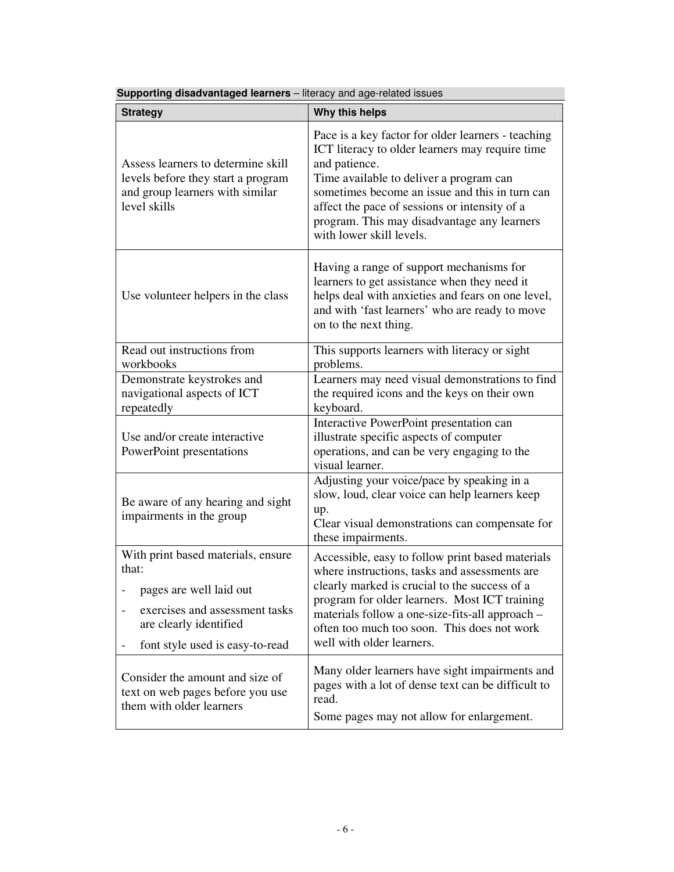| <b>Strategy</b>                                                                                                                                                       | Why this helps                                                                                                                                                                                                                                                                                                                                  |
|-----------------------------------------------------------------------------------------------------------------------------------------------------------------------|-------------------------------------------------------------------------------------------------------------------------------------------------------------------------------------------------------------------------------------------------------------------------------------------------------------------------------------------------|
| Assess learners to determine skill<br>levels before they start a program<br>and group learners with similar<br>level skills                                           | Pace is a key factor for older learners - teaching<br>ICT literacy to older learners may require time<br>and patience.<br>Time available to deliver a program can<br>sometimes become an issue and this in turn can<br>affect the pace of sessions or intensity of a<br>program. This may disadvantage any learners<br>with lower skill levels. |
| Use volunteer helpers in the class                                                                                                                                    | Having a range of support mechanisms for<br>learners to get assistance when they need it<br>helps deal with anxieties and fears on one level,<br>and with 'fast learners' who are ready to move<br>on to the next thing.                                                                                                                        |
| Read out instructions from<br>workbooks                                                                                                                               | This supports learners with literacy or sight<br>problems.                                                                                                                                                                                                                                                                                      |
| Demonstrate keystrokes and<br>navigational aspects of ICT<br>repeatedly                                                                                               | Learners may need visual demonstrations to find<br>the required icons and the keys on their own<br>keyboard.                                                                                                                                                                                                                                    |
| Use and/or create interactive<br>PowerPoint presentations                                                                                                             | Interactive PowerPoint presentation can<br>illustrate specific aspects of computer<br>operations, and can be very engaging to the<br>visual learner.                                                                                                                                                                                            |
| Be aware of any hearing and sight<br>impairments in the group                                                                                                         | Adjusting your voice/pace by speaking in a<br>slow, loud, clear voice can help learners keep<br>up.<br>Clear visual demonstrations can compensate for<br>these impairments.                                                                                                                                                                     |
| With print based materials, ensure<br>that:<br>pages are well laid out<br>exercises and assessment tasks<br>are clearly identified<br>font style used is easy-to-read | Accessible, easy to follow print based materials<br>where instructions, tasks and assessments are<br>clearly marked is crucial to the success of a<br>program for older learners. Most ICT training<br>materials follow a one-size-fits-all approach -<br>often too much too soon. This does not work<br>well with older learners.              |
| Consider the amount and size of<br>text on web pages before you use<br>them with older learners                                                                       | Many older learners have sight impairments and<br>pages with a lot of dense text can be difficult to<br>read.<br>Some pages may not allow for enlargement.                                                                                                                                                                                      |

**Supporting disadvantaged learners** – literacy and age-related issues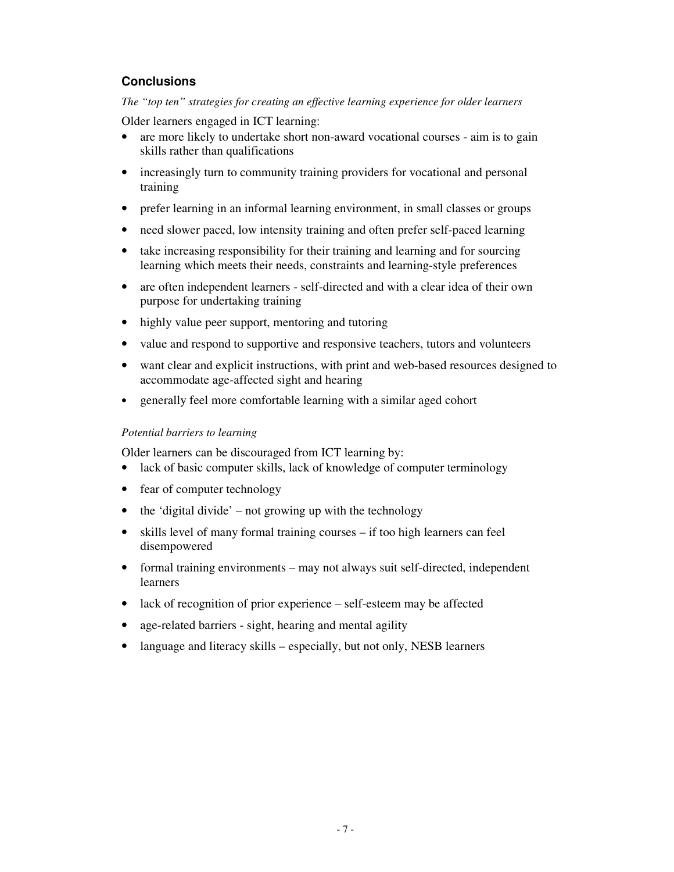# **Conclusions**

*The "top ten" strategies for creating an effective learning experience for older learners*

Older learners engaged in ICT learning:

- are more likely to undertake short non-award vocational courses aim is to gain skills rather than qualifications
- increasingly turn to community training providers for vocational and personal training
- prefer learning in an informal learning environment, in small classes or groups
- need slower paced, low intensity training and often prefer self-paced learning
- take increasing responsibility for their training and learning and for sourcing learning which meets their needs, constraints and learning-style preferences
- are often independent learners self-directed and with a clear idea of their own purpose for undertaking training
- highly value peer support, mentoring and tutoring
- value and respond to supportive and responsive teachers, tutors and volunteers
- want clear and explicit instructions, with print and web-based resources designed to accommodate age-affected sight and hearing
- generally feel more comfortable learning with a similar aged cohort

## *Potential barriers to learning*

Older learners can be discouraged from ICT learning by:

- lack of basic computer skills, lack of knowledge of computer terminology
- fear of computer technology
- $\bullet$  the 'digital divide' not growing up with the technology
- skills level of many formal training courses if too high learners can feel disempowered
- formal training environments may not always suit self-directed, independent learners
- lack of recognition of prior experience self-esteem may be affected
- age-related barriers sight, hearing and mental agility
- language and literacy skills especially, but not only, NESB learners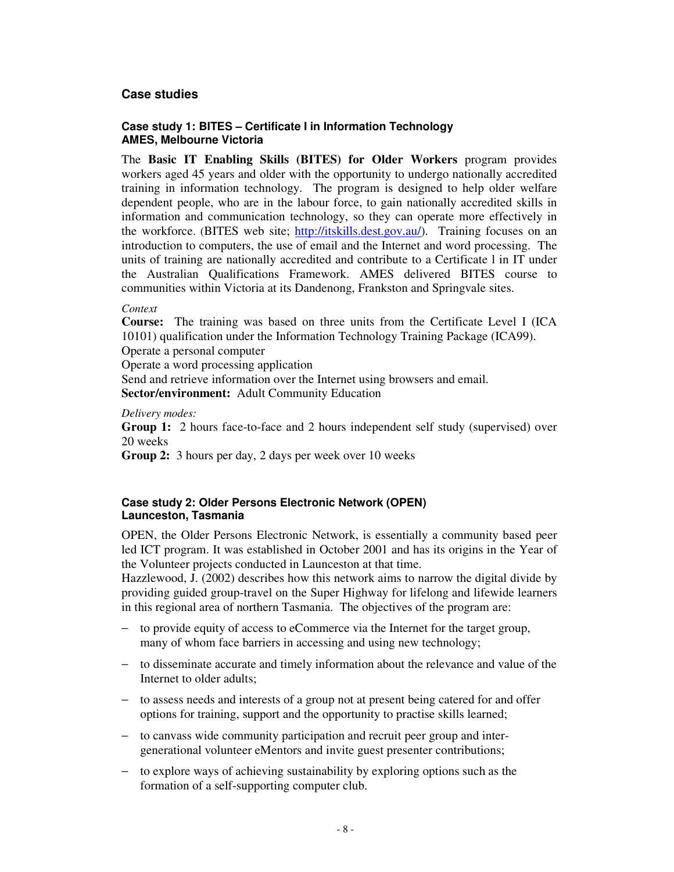## **Case studies**

## **Case study 1: BITES – Certificate I in Information Technology AMES, Melbourne Victoria**

The **Basic IT Enabling Skills (BITES) for Older Workers** program provides workers aged 45 years and older with the opportunity to undergo nationally accredited training in information technology. The program is designed to help older welfare dependent people, who are in the labour force, to gain nationally accredited skills in information and communication technology, so they can operate more effectively in the workforce. (BITES web site; http://itskills.dest.gov.au/). Training focuses on an introduction to computers, the use of email and the Internet and word processing. The units of training are nationally accredited and contribute to a Certificate l in IT under the Australian Qualifications Framework. AMES delivered BITES course to communities within Victoria at its Dandenong, Frankston and Springvale sites.

#### *Context*

**Course:** The training was based on three units from the Certificate Level I (ICA 10101) qualification under the Information Technology Training Package (ICA99). Operate a personal computer

Operate a word processing application

Send and retrieve information over the Internet using browsers and email. **Sector/environment:** Adult Community Education

#### *Delivery modes:*

**Group 1:** 2 hours face-to-face and 2 hours independent self study (supervised) over 20 weeks

**Group 2:** 3 hours per day, 2 days per week over 10 weeks

## **Case study 2: Older Persons Electronic Network (OPEN) Launceston, Tasmania**

OPEN, the Older Persons Electronic Network, is essentially a community based peer led ICT program. It was established in October 2001 and has its origins in the Year of the Volunteer projects conducted in Launceston at that time.

Hazzlewood, J. (2002) describes how this network aims to narrow the digital divide by providing guided group-travel on the Super Highway for lifelong and lifewide learners in this regional area of northern Tasmania. The objectives of the program are:

- − to provide equity of access to eCommerce via the Internet for the target group, many of whom face barriers in accessing and using new technology;
- − to disseminate accurate and timely information about the relevance and value of the Internet to older adults;
- − to assess needs and interests of a group not at present being catered for and offer options for training, support and the opportunity to practise skills learned;
- − to canvass wide community participation and recruit peer group and intergenerational volunteer eMentors and invite guest presenter contributions;
- − to explore ways of achieving sustainability by exploring options such as the formation of a self-supporting computer club.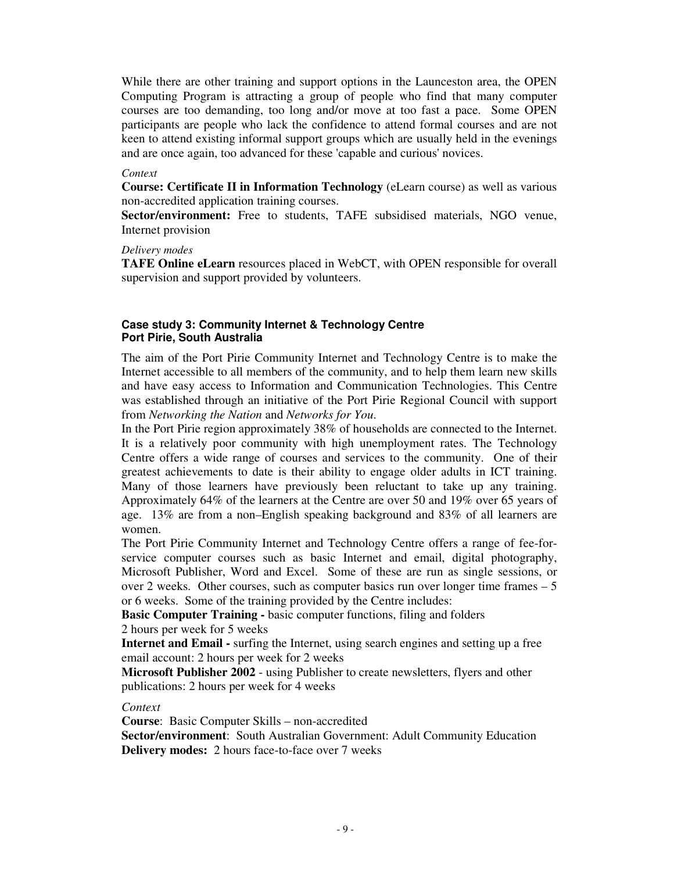While there are other training and support options in the Launceston area, the OPEN Computing Program is attracting a group of people who find that many computer courses are too demanding, too long and/or move at too fast a pace. Some OPEN participants are people who lack the confidence to attend formal courses and are not keen to attend existing informal support groups which are usually held in the evenings and are once again, too advanced for these 'capable and curious'novices.

#### *Context*

**Course: Certificate II in Information Technology** (eLearn course) as well as various non-accredited application training courses.

**Sector/environment:** Free to students, TAFE subsidised materials, NGO venue, Internet provision

#### *Delivery modes*

**TAFE Online eLearn** resources placed in WebCT, with OPEN responsible for overall supervision and support provided by volunteers.

#### **Case study 3: Community Internet & Technology Centre Port Pirie, South Australia**

The aim of the Port Pirie Community Internet and Technology Centre is to make the Internet accessible to all members of the community, and to help them learn new skills and have easy access to Information and Communication Technologies. This Centre was established through an initiative of the Port Pirie Regional Council with support from *Networking the Nation* and *Networks for You*.

In the Port Pirie region approximately 38% of households are connected to the Internet. It is a relatively poor community with high unemployment rates. The Technology Centre offers a wide range of courses and services to the community. One of their greatest achievements to date is their ability to engage older adults in ICT training. Many of those learners have previously been reluctant to take up any training. Approximately 64% of the learners at the Centre are over 50 and 19% over 65 years of age. 13% are from a non–English speaking background and 83% of all learners are women.

The Port Pirie Community Internet and Technology Centre offers a range of fee-forservice computer courses such as basic Internet and email, digital photography, Microsoft Publisher, Word and Excel. Some of these are run as single sessions, or over 2 weeks. Other courses, such as computer basics run over longer time frames – 5 or 6 weeks. Some of the training provided by the Centre includes:

**Basic Computer Training -** basic computer functions, filing and folders 2 hours per week for 5 weeks

**Internet and Email -** surfing the Internet, using search engines and setting up a free email account: 2 hours per week for 2 weeks

**Microsoft Publisher 2002** - using Publisher to create newsletters, flyers and other publications: 2 hours per week for 4 weeks

#### *Context*

**Course**: Basic Computer Skills – non-accredited

**Sector/environment**: South Australian Government: Adult Community Education **Delivery modes:** 2 hours face-to-face over 7 weeks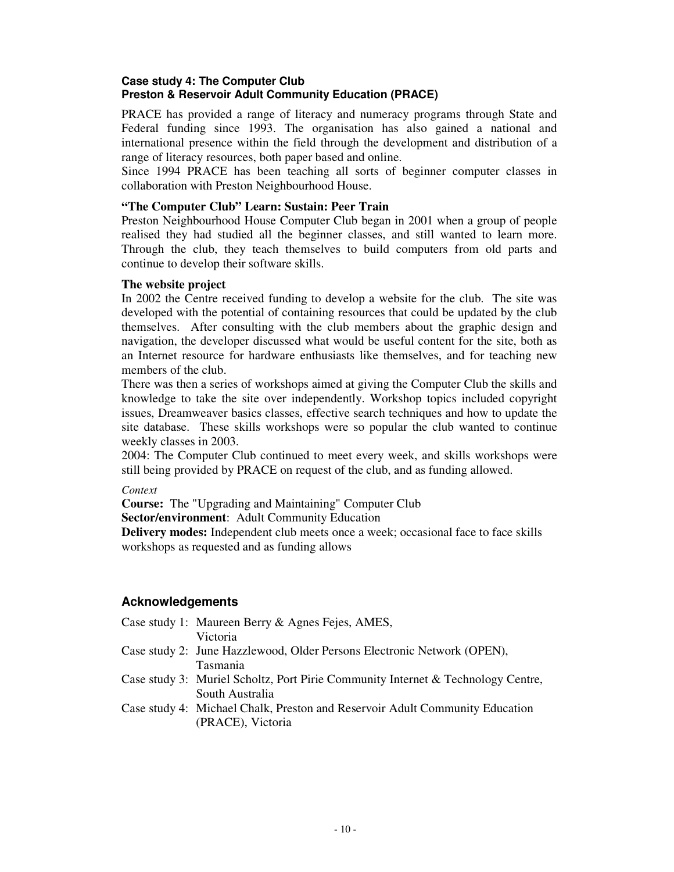## **Case study 4: The Computer Club Preston & Reservoir Adult Community Education (PRACE)**

PRACE has provided a range of literacy and numeracy programs through State and Federal funding since 1993. The organisation has also gained a national and international presence within the field through the development and distribution of a range of literacy resources, both paper based and online.

Since 1994 PRACE has been teaching all sorts of beginner computer classes in collaboration with Preston Neighbourhood House.

#### **"The Computer Club" Learn: Sustain: Peer Train**

Preston Neighbourhood House Computer Club began in 2001 when a group of people realised they had studied all the beginner classes, and still wanted to learn more. Through the club, they teach themselves to build computers from old parts and continue to develop their software skills.

#### **The website project**

In 2002 the Centre received funding to develop a website for the club. The site was developed with the potential of containing resources that could be updated by the club themselves. After consulting with the club members about the graphic design and navigation, the developer discussed what would be useful content for the site, both as an Internet resource for hardware enthusiasts like themselves, and for teaching new members of the club.

There was then a series of workshops aimed at giving the Computer Club the skills and knowledge to take the site over independently. Workshop topics included copyright issues, Dreamweaver basics classes, effective search techniques and how to update the site database. These skills workshops were so popular the club wanted to continue weekly classes in 2003.

2004: The Computer Club continued to meet every week, and skills workshops were still being provided by PRACE on request of the club, and as funding allowed.

## *Context*

**Course:** The "Upgrading and Maintaining" Computer Club

**Sector/environment**: Adult Community Education

**Delivery modes:** Independent club meets once a week; occasional face to face skills workshops as requested and as funding allows

## **Acknowledgements**

| Case study 1: Maureen Berry & Agnes Fejes, AMES,                                 |
|----------------------------------------------------------------------------------|
| Victoria                                                                         |
| Case study 2: June Hazzlewood, Older Persons Electronic Network (OPEN),          |
| Tasmania                                                                         |
| Case study 3: Muriel Scholtz, Port Pirie Community Internet & Technology Centre, |
| South Australia                                                                  |
| Case study 4: Michael Chalk, Preston and Reservoir Adult Community Education     |
| (PRACE), Victoria                                                                |
|                                                                                  |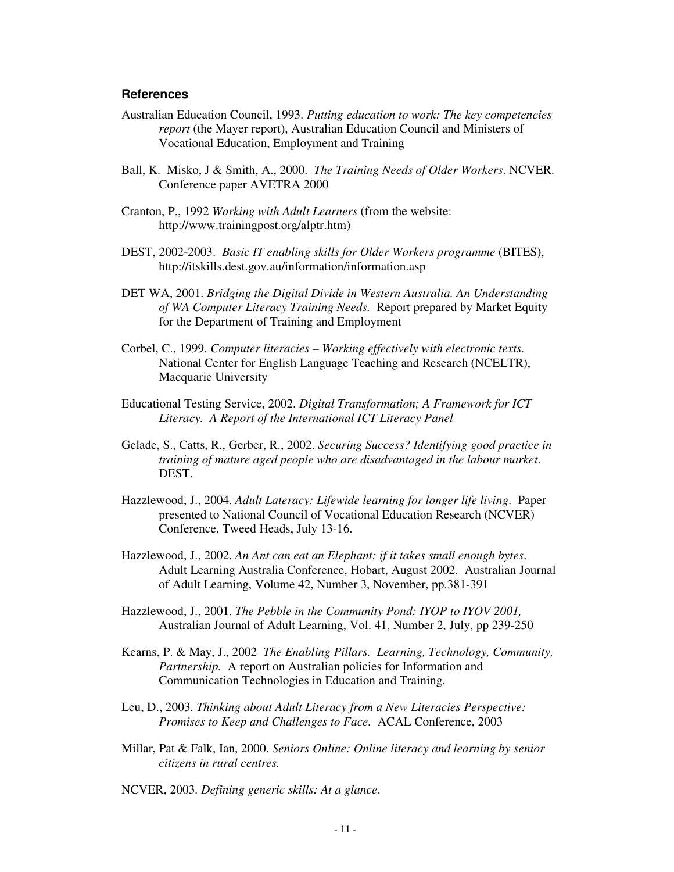#### **References**

- Australian Education Council, 1993. *Putting education to work: The key competencies report* (the Mayer report), Australian Education Council and Ministers of Vocational Education, Employment and Training
- Ball, K. Misko, J & Smith, A., 2000. *The Training Needs of Older Workers*. NCVER. Conference paper AVETRA 2000
- Cranton, P., 1992 *Working with Adult Learners* (from the website: http://www.trainingpost.org/alptr.htm)
- DEST, 2002-2003. *Basic IT enabling skills for Older Workers programme* (BITES), http://itskills.dest.gov.au/information/information.asp
- DET WA, 2001. *Bridging the Digital Divide in Western Australia. An Understanding of WA Computer Literacy Training Needs.* Report prepared by Market Equity for the Department of Training and Employment
- Corbel, C., 1999. *Computer literacies – Working effectively with electronic texts.* National Center for English Language Teaching and Research (NCELTR), Macquarie University
- Educational Testing Service, 2002. *Digital Transformation; A Framework for ICT Literacy. A Report of the International ICT Literacy Panel*
- Gelade, S., Catts, R., Gerber, R., 2002. *Securing Success? Identifying good practice in training of mature aged people who are disadvantaged in the labour market*. DEST.
- Hazzlewood, J., 2004. *Adult Lateracy: Lifewide learning for longer life living*. Paper presented to National Council of Vocational Education Research (NCVER) Conference, Tweed Heads, July 13-16.
- Hazzlewood, J., 2002. *An Ant can eat an Elephant: if it takes small enough bytes*. Adult Learning Australia Conference, Hobart, August 2002. Australian Journal of Adult Learning, Volume 42, Number 3, November, pp.381-391
- Hazzlewood, J., 2001. *The Pebble in the Community Pond: IYOP to IYOV 2001,* Australian Journal of Adult Learning, Vol. 41, Number 2, July, pp 239-250
- Kearns, P. & May, J., 2002 *The Enabling Pillars. Learning, Technology, Community, Partnership.* A report on Australian policies for Information and Communication Technologies in Education and Training.
- Leu, D., 2003. *Thinking about Adult Literacy from a New Literacies Perspective: Promises to Keep and Challenges to Face.* ACAL Conference, 2003
- Millar, Pat & Falk, Ian, 2000. *Seniors Online: Online literacy and learning by senior citizens in rural centres.*
- NCVER, 2003. *Defining generic skills: At a glance*.